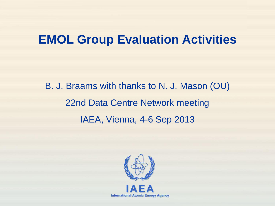#### **EMOL Group Evaluation Activities**

B. J. Braams with thanks to N. J. Mason (OU) 22nd Data Centre Network meeting IAEA, Vienna, 4-6 Sep 2013

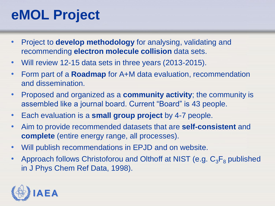## **eMOL Project**

- Project to **develop methodology** for analysing, validating and recommending **electron molecule collision** data sets.
- Will review 12-15 data sets in three years (2013-2015).
- Form part of a **Roadmap** for A+M data evaluation, recommendation and dissemination.
- Proposed and organized as a **community activity**; the community is assembled like a journal board. Current "Board" is 43 people.
- Each evaluation is a **small group project** by 4-7 people.
- Aim to provide recommended datasets that are **self-consistent** and **complete** (entire energy range, all processes).
- Will publish recommendations in EPJD and on website.
- Approach follows Christoforou and Olthoff at NIST (e.g.  $C_3F_8$  published in J Phys Chem Ref Data, 1998).

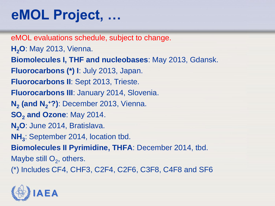## **eMOL Project, …**

eMOL evaluations schedule, subject to change. **H2O**: May 2013, Vienna. **Biomolecules I, THF and nucleobases**: May 2013, Gdansk. **Fluorocarbons (\*) I**: July 2013, Japan. **Fluorocarbons II**: Sept 2013, Trieste. **Fluorocarbons III**: January 2014, Slovenia. **N2 (and N<sup>2</sup> <sup>+</sup>?)**: December 2013, Vienna. **SO<sup>2</sup> and Ozone**: May 2014. **N2O**: June 2014, Bratislava. **NH<sup>3</sup>** : September 2014, location tbd. **Biomolecules II Pyrimidine, THFA**: December 2014, tbd. Maybe still  $O_2$ , others. (\*) Includes CF4, CHF3, C2F4, C2F6, C3F8, C4F8 and SF6

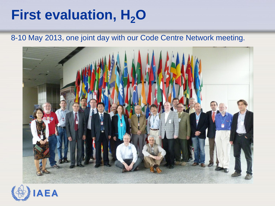## **First evaluation, H<sub>2</sub>O**

#### 8-10 May 2013, one joint day with our Code Centre Network meeting.



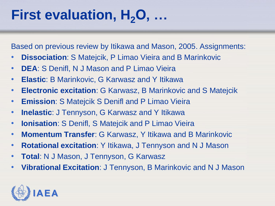# **First evaluation, H2O, …**

Based on previous review by Itikawa and Mason, 2005. Assignments:

- **Dissociation**: S Matejcik, P Limao Vieira and B Marinkovic
- **DEA**: S Denifl, N J Mason and P Limao Vieira
- **Elastic**: B Marinkovic, G Karwasz and Y Itikawa
- **Electronic excitation**: G Karwasz, B Marinkovic and S Matejcik
- **Emission**: S Matejcik S Denifl and P Limao Vieira
- **Inelastic**: J Tennyson, G Karwasz and Y Itikawa
- **Ionisation**: S Denifl, S Matejcik and P Limao Vieira
- **Momentum Transfer**: G Karwasz, Y Itikawa and B Marinkovic
- **Rotational excitation**: Y Itikawa, J Tennyson and N J Mason
- **Total**: N J Mason, J Tennyson, G Karwasz
- **Vibrational Excitation**: J Tennyson, B Marinkovic and N J Mason